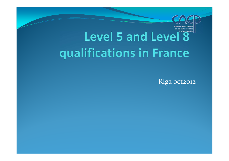# Level 5 and Level<sup>8</sup> qualifications in France

Riga oct2012

lem @e%iemal is Cornificaning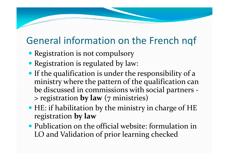#### General information on the French nqf

- Registration is not compulsory
- Registration is regulated by law:
- If the qualification is under the responsibility of a ministry where the pattern of the qualification can be discussed in commissions with social partners -> registration **by law** (7 ministries)
- HE: if habilitation by the ministry in charge of HE registration **by law**
- Publication on the official website: formulation in LO and Validation of prior learning checked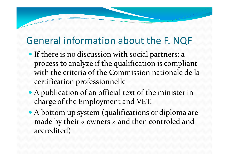#### General information about the F. NQF

- **•** If there is no discussion with social partners: a process to analyze if the qualification is compliant with the criteria of the Commission nationale de lacertification professionnelle
- A publication of an official text of the minister in charge of the Employment and VET.
- A bottom up system (qualifications or diploma are made by their « owners » and then controled and accredited)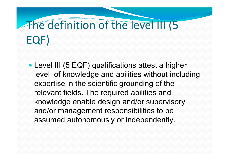# The definition of the level III (5 EQF)

 Level III (5 EQF) qualifications attest a higher level of knowledge and abilities without includingexpertise in the scientific grounding of the relevant fields. The required abilities and knowledge enable design and/or supervisory and/or management responsibilities to be assumed autonomously or independently.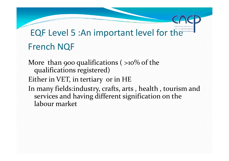#### EQF Level 5 :An important level for the French NQF

More than 900 qualifications ( $>10\%$  of the qualifications registered) Either in VET, in tertiary or in HE In many fields:industry, crafts, arts , health , tourism and services and having different signification on the labour market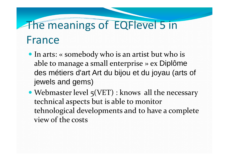# The meanings of EQFlevel 5 in France

- In arts: « somebody who is an artist but who is able to manage a small enterprise » ex Diplôme des métiers d'art Art du bijou et du joyau (arts ofjewels and gems)
- Webmaster level 5(VET) : knows all the necessary technical aspects but is able to monitor tehnological developments and to have a complete view of the costs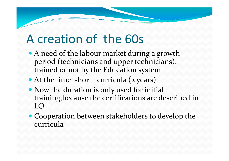# A creation of the 60s

- A need of the labour market during a growth period (technicians and upper technicians), trained or not by the Education system
- At the time short curricula (2 years)
- Now the duration is only used for initial training,because the certifications are described in  $LO$
- Cooperation between stakeholders to develop the curricula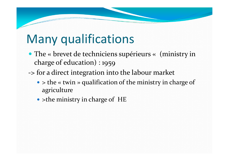# Many qualifications

- The « brevet de techniciens supérieurs « (ministry in charge of education) : 1959
- -> for a direct integration into the labour market
	- > the « twin » qualification of the ministry in charge of agriculture
	- >the ministry in charge of HE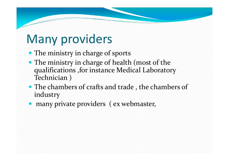# Many providers

- The ministry in charge of sports
- The ministry in charge of health (most of the qualifications ,for instance Medical Laboratory Technician )
- The chambers of crafts and trade, the chambers of industry
- many private providers ( ex webmaster,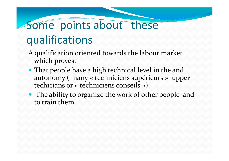# Some points about these qualifications

- A qualification oriented towards the labour market which proves:
- That people have a high technical level in the and autonomy ( many « techniciens supérieurs » upper techicians or « techniciens conseils »)
- The ability to organize the work of other people and to train them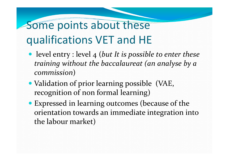# Some points about these qualifications VET and HE

- level entry : level 4 (*but It is possible to enter these training without the baccalaureat (an analyse by a commission*)
- Validation of prior learning possible (VAE, recognition of non formal learning)
- Expressed in learning outcomes (because of the orientation towards an immediate integration into the labour market)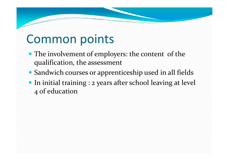# Common points

- The involvement of employers: the content of the qualification, the assessment
- Sandwich courses or apprenticeship used in all fields
- In initial training : 2 years after school leaving at level 4 of education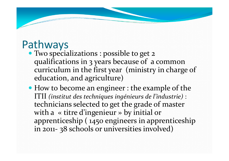## Pathways

- Two specializations : possible to get 2 qualifications in 3 years because of a common curriculum in the first year (ministry in charge of education, and agriculture)
- How to become an engineer : the example of the ITII *(institut des techniques ingénieurs de l'industrie)* : technicians selected to get the grade of master with a « titre d'ingenieur » by initial or apprenticeship ( 1450 engineers in apprenticeship in 2011- <sup>3</sup>8 schools or universities involved)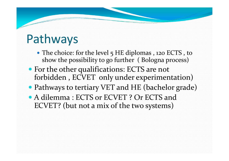# Pathways

- The choice: for the level 5 HE diplomas, 120 ECTS, to show the possibility to go further ( Bologna process)
- For the other qualifications: ECTS are not forbidden , ECVET only under experimentation)
- Pathways to tertiary VET and HE (bachelor grade)
- A dilemma : ECTS or ECVET ? Or ECTS and ECVET? (but not a mix of the two systems)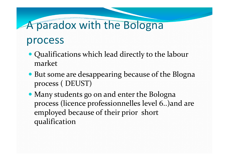# A paradox with the Bologna

#### process

- Qualifications which lead directly to the labour market
- But some are desappearing because of the Blogna process ( DEUST)
- Many students go on and enter the Bologna process (licence professionnelles level 6..)and areemployed because of their prior short qualification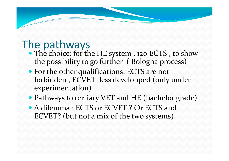### The pathways

- The choice: for the HE system, 120 ECTS, to show the possibility to go further ( Bologna process)
- For the other qualifications: ECTS are not forbidden , ECVET less developped (only under experimentation)
- Pathways to tertiary VET and HE (bachelor grade)
- A dilemma : ECTS or ECVET ? Or ECTS and ECVET? (but not a mix of the two systems)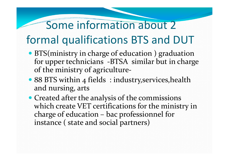## Some information about 2 formal qualifications BTS and DUT

- BTS(ministry in charge of education) graduation for upper technicians -BTSA similar but in chargeof the ministry of agriculture-
- 88 BTS within 4 fields : industry, services, health and nursing, arts
- Created after the analysis of the commissions which create VET certifications for the ministry incharge of education – bac professionnel for instance ( state and social partners)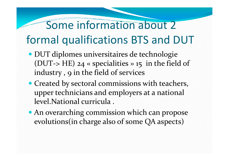# Some information about 2 formal qualifications BTS and DUT

- DUT diplomes universitaires de technologie (DUT-> HE)  $24 \times$  specialities  $\rightarrow$  15 in the field of industry, 9 in the field of services
- Created by sectoral commissions with teachers, upper technicians and employers at a national level.National curricula .
- An overarching commission which can propose evolutions(in charge also of some QA aspects)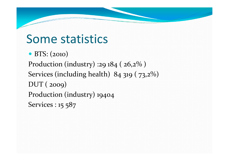# Some statistics

• BTS: (2010) Production (industry) :29 184 ( 26,2% )Services (including health) 84 319 ( 73,2%)DUT ( 2009) Production (industry) 19404Services : 15 587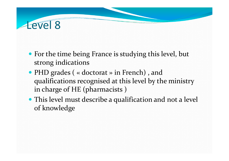### Level 8

- For the time being France is studying this level, but strong indications
- PHD grades (« doctorat » in French), and qualifications recognised at this level by the ministry in charge of HE (pharmacists )
- This level must describe a qualification and not a level of knowledge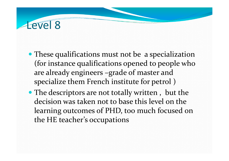### Level 8

- These qualifications must not be a specialization (for instance qualifications opened to people who are already engineers –grade of master and specialize them French institute for petrol )
- The descriptors are not totally written, but the decision was taken not to base this level on the learning outcomes of PHD, too much focused on the HE teacher's occupations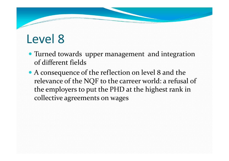# Level 8

- Turned towards upper management and integration of different fields
- A consequence of the reflection on level 8 and the relevance of the NQF to the carreer world: a refusal of the employers to put the PHD at the highest rank incollective agreements on wages